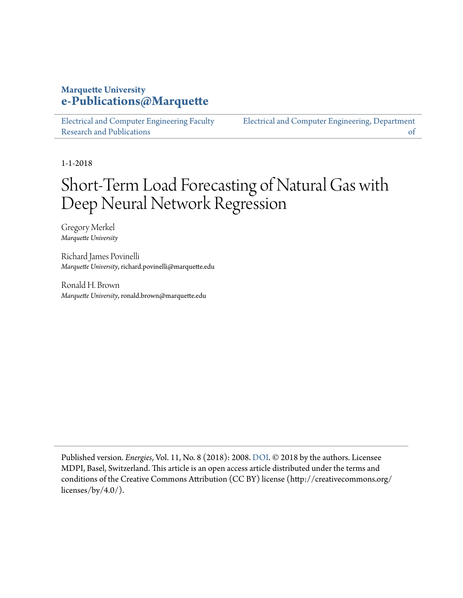### **Marquette University [e-Publications@Marquette](https://epublications.marquette.edu)**

[Electrical and Computer Engineering Faculty](https://epublications.marquette.edu/electric_fac) [Research and Publications](https://epublications.marquette.edu/electric_fac)

[Electrical and Computer Engineering, Department](https://epublications.marquette.edu/electric) [of](https://epublications.marquette.edu/electric)

1-1-2018

# Short-Term Load Forecasting of Natural Gas with Deep Neural Network Regression

Gregory Merkel *Marquette University*

Richard James Povinelli *Marquette University*, richard.povinelli@marquette.edu

Ronald H. Brown *Marquette University*, ronald.brown@marquette.edu

Published version. *Energies*, Vol. 11, No. 8 (2018): 2008. [DOI](https://doi.org/10.3390/en11082008). © 2018 by the authors. Licensee MDPI, Basel, Switzerland. This article is an open access article distributed under the terms and conditions of the Creative Commons Attribution (CC BY) license (http://creativecommons.org/ licenses/by/4.0/ $)$ .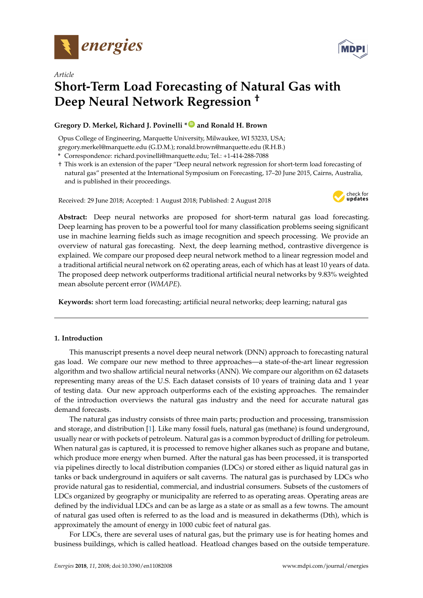

*Article*

## **Short-Term Load Forecasting of Natural Gas with Deep Neural Network Regression †**

### **Gregory D. Merkel, Richard J. Povinelli \* [ID](https://orcid.org/0000-0001-8439-0146) and Ronald H. Brown**

Opus College of Engineering, Marquette University, Milwaukee, WI 53233, USA;

gregory.merkel@marquette.edu (G.D.M.); ronald.brown@marquette.edu (R.H.B.)

**\*** Correspondence: richard.povinelli@marquette.edu; Tel.: +1-414-288-7088

† This work is an extension of the paper "Deep neural network regression for short-term load forecasting of natural gas" presented at the International Symposium on Forecasting, 17–20 June 2015, Cairns, Australia, and is published in their proceedings.

Received: 29 June 2018; Accepted: 1 August 2018; Published: 2 August 2018



**Abstract:** Deep neural networks are proposed for short-term natural gas load forecasting. Deep learning has proven to be a powerful tool for many classification problems seeing significant use in machine learning fields such as image recognition and speech processing. We provide an overview of natural gas forecasting. Next, the deep learning method, contrastive divergence is explained. We compare our proposed deep neural network method to a linear regression model and a traditional artificial neural network on 62 operating areas, each of which has at least 10 years of data. The proposed deep network outperforms traditional artificial neural networks by 9.83% weighted mean absolute percent error (*WMAPE*).

**Keywords:** short term load forecasting; artificial neural networks; deep learning; natural gas

#### **1. Introduction**

This manuscript presents a novel deep neural network (DNN) approach to forecasting natural gas load. We compare our new method to three approaches—a state-of-the-art linear regression algorithm and two shallow artificial neural networks (ANN). We compare our algorithm on 62 datasets representing many areas of the U.S. Each dataset consists of 10 years of training data and 1 year of testing data. Our new approach outperforms each of the existing approaches. The remainder of the introduction overviews the natural gas industry and the need for accurate natural gas demand forecasts.

The natural gas industry consists of three main parts; production and processing, transmission and storage, and distribution [\[1\]](#page-11-0). Like many fossil fuels, natural gas (methane) is found underground, usually near or with pockets of petroleum. Natural gas is a common byproduct of drilling for petroleum. When natural gas is captured, it is processed to remove higher alkanes such as propane and butane, which produce more energy when burned. After the natural gas has been processed, it is transported via pipelines directly to local distribution companies (LDCs) or stored either as liquid natural gas in tanks or back underground in aquifers or salt caverns. The natural gas is purchased by LDCs who provide natural gas to residential, commercial, and industrial consumers. Subsets of the customers of LDCs organized by geography or municipality are referred to as operating areas. Operating areas are defined by the individual LDCs and can be as large as a state or as small as a few towns. The amount of natural gas used often is referred to as the load and is measured in dekatherms (Dth), which is approximately the amount of energy in 1000 cubic feet of natural gas.

For LDCs, there are several uses of natural gas, but the primary use is for heating homes and business buildings, which is called heatload. Heatload changes based on the outside temperature.

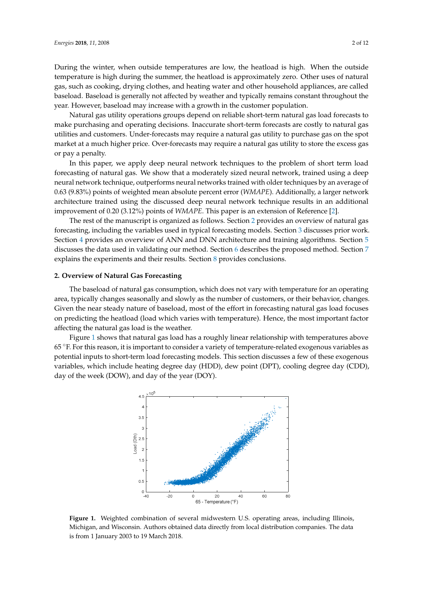During the winter, when outside temperatures are low, the heatload is high. When the outside temperature is high during the summer, the heatload is approximately zero. Other uses of natural gas, such as cooking, drying clothes, and heating water and other household appliances, are called baseload. Baseload is generally not affected by weather and typically remains constant throughout the *Energies* **2018**, *11*, x 2 of 13 year. However, baseload may increase with a growth in the customer population.

Natural gas utility operations groups depend on reliable short-term natural gas load forecasts to make purchasing and operating decisions. Inaccurate short-term forecasts are costly to natural gas utilities and customers. Under-forecasts may require a natural gas utility to purchase gas on the spot market at a much higher price. Over-forecasts may require a natural gas utility to store the excess gas or pay a penalty. and customers. Onder-forceasts may require a natural gas utinty to purch  $t$  purchasing and operating decisions. In accurate short-term for  $t$  to natural gas  $\alpha$ 

In this paper, we apply deep neural network techniques to the problem of short term load forecasting of natural gas. We show that a moderately sized neural network, trained using a deep neural network technique, outperforms neural networks trained with older techniques by an average of 0.63 (9.83%) points of weighted mean absolute percent error (WMAPE). Additionally, a larger network architecture trained using the discussed deep neural network technique results in an additional improvement of 0.20 (3.12%) points of *WMAPE*. This paper is an extension of Reference [\[2\]](#page-11-1). In the paper of the problem of the problem of the problem of short term of short term loads by the term of short term loads of short term loads of the problem of short term loads of the problem of the problem of the proble

The rest of the manuscript is organized as follows. Section 2 provides an overview of natur[al](#page-2-0) gas forecasting, including the variables used in typical forecasting models. Section [3](#page-3-0) discusses prior work. Section [4](#page-5-0) provides an overview of ANN and DNN architecture and training algorithms. Section [5](#page-8-0) discusses the data used in valida[tin](#page-8-1)g our method. Section  $6$  describes the proposed method. Section  $7$ explains the experiments and their results. Section  $8$  provides conclusions. ovides an overview of  $\overline{m}$  and  $\overline{m}$  providence and all gas follows. Sec

#### <span id="page-2-0"></span>2. Overview of Natural Gas Forecasting

The baseload of natural gas consumption, which does not vary with temperature for an operating area, typically changes seasonally and slowly as the number of customers, or their behavior, changes. Given the near steady nature of baseload, most of the effort in forecasting natural gas load focuses on predicting the heatload (load which varies with temperature). Hence, the most important factor affecting the natural gas load is the weather. le hear sleauy hature of baseloau, most of the enort in forecasting hatural gas load h

Figure 1 shows that natural gas load has a roughly linear relationship with temperatures above 65 °F. For this reason, it is important to consider a variety of temperature-related exogenous variables as potential inputs to short-term load forecasting models. This section discusses a few of these exogenous variables, which include heating degree day (HDD), dew point (DPT), cooling degree day (CDD), day of the week (DOW), and day of the year (DOY). as potential in puts to short-term load forecasting models. This section discusses a few of these exceptions

<span id="page-2-1"></span>

**Figure 1.** Weighted combination of several midwestern U.S. operating areas, including Illinois, **Figure 1.** Weighted combination of several midwestern U.S. operating areas, including Illinois, Michigan, and Wisconsin. Authors obtained data directly from local distribution companies. The data is from 1 January 2003 to 19 March 2018.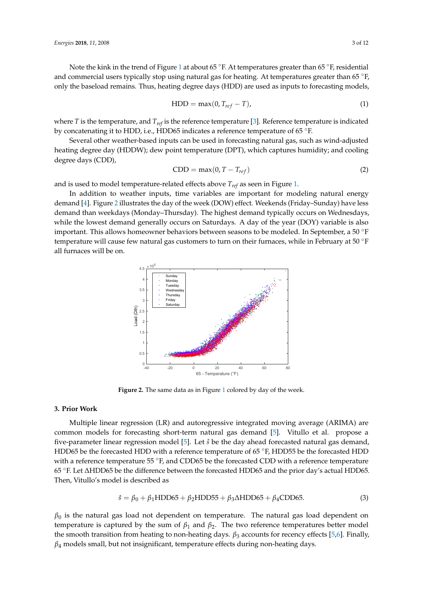Note the kink in the trend of Figure [1](#page-2-1) at about 65 °F. At temperatures greater than 65 °F, residential and commercial users typically stop using natural gas for heating. At temperatures greater than 65  $^{\circ}$ F, only the baseload remains. Thus, heating degree days (HDD) are used as inputs to forecasting models,

$$
HDD = \max(0, T_{ref} - T), \tag{1}
$$

where  $T$  is the temperature, and  $T_{\textit{ref}}$  is the reference temperature [\[3\]](#page-11-2). Reference temperature is indicated by concatenating it to HDD, i.e., HDD65 indicates a reference temperature of 65 °F.

Several other weather-based inputs can be used in forecasting natural gas, such as wind-adjusted heating degree day (HDDW); dew point temperature (DPT), which captures humidity; and cooling degree days (CDD),  $h_{\text{av}}(CDD)$  $\overline{C}$ 

$$
CDD = \max(0, T - T_{ref})
$$
\n(2)

and is used to model temperature-related effects above *Tref* as seen in Figure [1.](#page-2-1) CDD max(0, ) *ref T T* (2)

<span id="page-3-1"></span>In addition to weather inputs, time variables are important for modeling natural energy demand [\[4\]](#page-11-3). Figure [2](#page-3-1) illustrates the day of the week (DOW) effect. Weekends (Friday–Sunday) have less demand than weekdays (Monday–Thursday). The highest demand typically occurs on Wednesdays, while the lowest demand generally occurs on Saturdays. A day of the year (DOY) variable is also while the lowest demand generally occurs on Saturdays. A day of the year (DOY) variable is also important. This allows homeowner behaviors between seasons to be modeled. In September, a 50 °F temperature will cause few natural gas customers to turn on their furnaces, while in February at 50 °F all furnaces will be on. demand than weekdays (Monday–Thursday). The highest demand typically occurs on Wednesdays,



**Figure 2.** The same data as in Figure 1 colored by day of the week. **Figure 2.** The same data as in Figure [1](#page-2-1) colored by day of the week.

#### <span id="page-3-0"></span> $\mathcal{L}$ **3. Prior Work**

Multiple linear regression (LR) and autoregressive integrated moving average (ARIMA) are parameter linear regression model [5]. Let *s*ˆ be the day ahead forecasted natural gas demand, common models for forecasting short-term natural gas demand [\[5\]](#page-11-4). Vitullo et al. propose a five-parameter linear regression model [\[5\]](#page-11-4). Let *ŝ* be the day ahead forecasted natural gas demand, HDD65 be the forecasted HDD with a reference temperature of 65 $\degree$ F, HDD55 be the forecasted HDD with a reference temperature 55 °F, and CDD65 be the forecasted CDD with a reference temperature 65 °F. Let ∆HDD65 be the difference between the forecasted HDD65 and the prior day's actual HDD65.<br>Then *Vitalla's model is described as* Then, Vitullo's model is described as

$$
\hat{s} = \beta_0 + \beta_1 \text{HDD65} + \beta_2 \text{HDD55} + \beta_3 \Delta \text{HDD65} + \beta_4 \text{CDD65}.\tag{3}
$$

 $\beta_0$  is the natural gas load not dependent on temperature. The natural gas load dependent on temperature is captured by the sum of  $\beta_1$  and  $\beta_2$ . The two reference temperatures better model the smooth transition from heating to non-heating days. *β*<sub>3</sub> accounts for recency effects [\[5](#page-11-4)[,6\]](#page-11-5). Finally, *β*<sup>4</sup> models small, but not insignificant, temperature effects during non-heating days.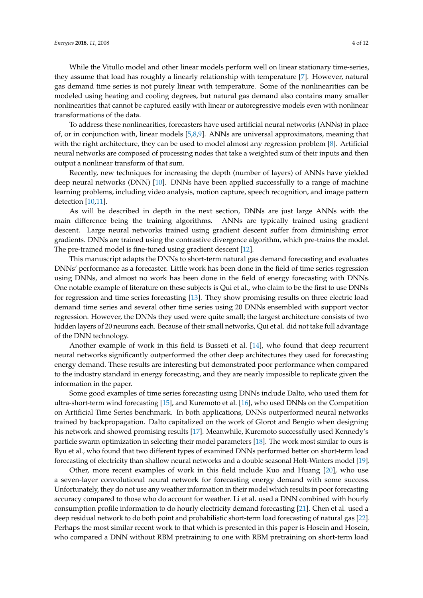While the Vitullo model and other linear models perform well on linear stationary time-series, they assume that load has roughly a linearly relationship with temperature [\[7\]](#page-11-6). However, natural gas demand time series is not purely linear with temperature. Some of the nonlinearities can be modeled using heating and cooling degrees, but natural gas demand also contains many smaller nonlinearities that cannot be captured easily with linear or autoregressive models even with nonlinear transformations of the data.

To address these nonlinearities, forecasters have used artificial neural networks (ANNs) in place of, or in conjunction with, linear models [\[5,](#page-11-4)[8,](#page-12-0)[9\]](#page-12-1). ANNs are universal approximators, meaning that with the right architecture, they can be used to model almost any regression problem [\[8\]](#page-12-0). Artificial neural networks are composed of processing nodes that take a weighted sum of their inputs and then output a nonlinear transform of that sum.

Recently, new techniques for increasing the depth (number of layers) of ANNs have yielded deep neural networks (DNN) [\[10\]](#page-12-2). DNNs have been applied successfully to a range of machine learning problems, including video analysis, motion capture, speech recognition, and image pattern detection [\[10](#page-12-2)[,11\]](#page-12-3).

As will be described in depth in the next section, DNNs are just large ANNs with the main difference being the training algorithms. ANNs are typically trained using gradient descent. Large neural networks trained using gradient descent suffer from diminishing error gradients. DNNs are trained using the contrastive divergence algorithm, which pre-trains the model. The pre-trained model is fine-tuned using gradient descent [\[12\]](#page-12-4).

This manuscript adapts the DNNs to short-term natural gas demand forecasting and evaluates DNNs' performance as a forecaster. Little work has been done in the field of time series regression using DNNs, and almost no work has been done in the field of energy forecasting with DNNs. One notable example of literature on these subjects is Qui et al., who claim to be the first to use DNNs for regression and time series forecasting [\[13\]](#page-12-5). They show promising results on three electric load demand time series and several other time series using 20 DNNs ensembled with support vector regression. However, the DNNs they used were quite small; the largest architecture consists of two hidden layers of 20 neurons each. Because of their small networks, Qui et al. did not take full advantage of the DNN technology.

Another example of work in this field is Busseti et al. [\[14\]](#page-12-6), who found that deep recurrent neural networks significantly outperformed the other deep architectures they used for forecasting energy demand. These results are interesting but demonstrated poor performance when compared to the industry standard in energy forecasting, and they are nearly impossible to replicate given the information in the paper.

Some good examples of time series forecasting using DNNs include Dalto, who used them for ultra-short-term wind forecasting [\[15\]](#page-12-7), and Kuremoto et al. [\[16\]](#page-12-8), who used DNNs on the Competition on Artificial Time Series benchmark. In both applications, DNNs outperformed neural networks trained by backpropagation. Dalto capitalized on the work of Glorot and Bengio when designing his network and showed promising results [\[17\]](#page-12-9). Meanwhile, Kuremoto successfully used Kennedy's particle swarm optimization in selecting their model parameters [\[18\]](#page-12-10). The work most similar to ours is Ryu et al., who found that two different types of examined DNNs performed better on short-term load forecasting of electricity than shallow neural networks and a double seasonal Holt-Winters model [\[19\]](#page-12-11).

Other, more recent examples of work in this field include Kuo and Huang [\[20\]](#page-12-12), who use a seven-layer convolutional neural network for forecasting energy demand with some success. Unfortunately, they do not use any weather information in their model which results in poor forecasting accuracy compared to those who do account for weather. Li et al. used a DNN combined with hourly consumption profile information to do hourly electricity demand forecasting [\[21\]](#page-12-13). Chen et al. used a deep residual network to do both point and probabilistic short-term load forecasting of natural gas [\[22\]](#page-12-14). Perhaps the most similar recent work to that which is presented in this paper is Hosein and Hosein, who compared a DNN without RBM pretraining to one with RBM pretraining on short-term load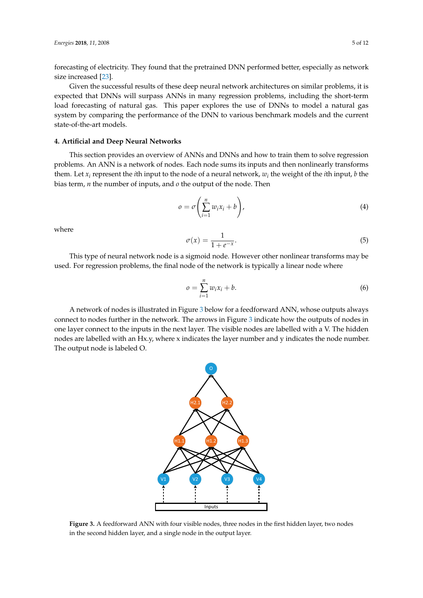forecasting of electricity. They found that the pretrained DNN performed better, especially as network size increased [\[23\]](#page-12-15).

Given the successful results of these deep neural network architectures on similar problems, it is expected that DNNs will surpass ANNs in many regression problems, including the short-term load forecasting of natural gas. This paper explores the use of DNNs to model a natural gas system by comparing the performance of the DNN to various benchmark models and the current state-of-the-art models.

#### <span id="page-5-0"></span>**4. Artificial and Deep Neural Networks**

This section provides an overview of ANNs and DNNs and how to train them to solve regression problems. An ANN is a network of nodes. Each node sums its inputs and then nonlinearly transforms them. Let  $x_i$  represent the *i*th input to the node of a neural network,  $w_i$  the weight of the *i*th input, *b* the bias term, *n* the number of inputs, and *o* the output of the node. Then

$$
o = \sigma \left( \sum_{i=1}^{n} w_i x_i + b \right), \tag{4}
$$

where

$$
\sigma(x) = \frac{1}{1 + e^{-x}}.\tag{5}
$$

This type of neural network node is a sigmoid node. However other nonlinear transforms may be used. For regression problems, the final node of the network is typically a linear node where

$$
o = \sum_{i=1}^{n} w_i x_i + b. \tag{6}
$$

<span id="page-5-1"></span>A network of nodes is illustrated in Figure [3](#page-5-1) below for a feedforward ANN, whose outputs always connect to nodes further in the network. The arrows in Figure [3](#page-5-1) indicate how the outputs of nodes in one layer connect to the inputs in the next layer. The visible nodes are labelled with a V. The hidden nodes are labelled with an Hx.y, where x indicates the layer number and y indicates the node number. The output node is labeled O.



**Figure 3.** A feedforward ANN with four visible nodes, three nodes in the first hidden layer, two nodes in the second hidden layer, and a single node in the output layer.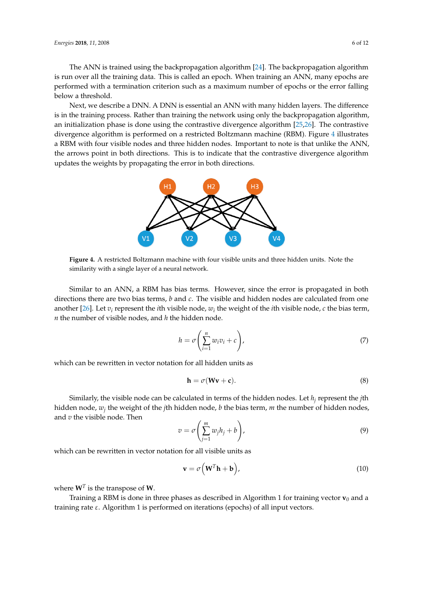The ANN is trained using the backpropagation algorithm [\[24\]](#page-12-16). The backpropagation algorithm The ANN is trained using the backpropagation algorithm [24]. The backpropagation algorithm is run over all the training data. This is called an epoch. When training an ANN, many epochs are is run over all the training data. This is called an epoch. When training an ANN, many epochs are performed with a termination criterion such as a maximum number of epochs or the error falling performed with a termination criterion such as a maximum number of epochs or the error falling below a threshold. below a threshold.

<span id="page-6-0"></span>Next, we describe a DNN. A DNN is essential an ANN with many hidden layers. The difference Next, we describe a DNN. A DNN is essential an ANN with many hidden layers. The difference is in the training process. Rather than training the network using only the backpropagation algorithm, is in the training process. Rather than training the network using only the backpropagation algorithm, an initialization phase is done using the contrastive divergence algorithm [\[25,](#page-12-17)[26\]](#page-12-18). The contrastive an initialization phase is done using the contrastive divergence algorithm [25,26]. The contrastive divergence algorithm is performed on a restricted Boltzmann machine (RBM). Figure 4 illustrates divergence algorithm is performed on a restricted Boltzmann machine (RBM). Figure [4 il](#page-6-0)lustrates a a RBM with four visible nodes and three hidden nodes. Important to note is that unlike the ANN, the arrows point in both directions. This is to indicate that the contrastive divergence algorithm updates the weights by propagating the error in both directions. the weights by propagating the error in both directions.



**Figure 4.** A restricted Boltzmann machine with four visible units and three hidden units. Note the **Figure 4.** A restricted Boltzmann machine with four visible units and three hidden units. Note the similarity with a single layer of a neural network. similarity with a single layer of a neural network.

Similar to an ANN, a RBM has bias terms. However, since the error is propagated in both Similar to an ANN, a RBM has bias terms. However, since the error is propagated in both directions there are two bias terms, b and c. The visible and hidden nodes are calculated from one another [\[26\]](#page-12-18). Let  $v_i$  represent the *i*th visible node,  $w_i$  the weight of the *i*th visible node, *c* the bias term, *n* the number of visible nodes, and *h* the hidden node.

$$
h = \sigma \left( \sum_{i=1}^{n} w_i v_i + c \right),\tag{7}
$$

which can be rewritten in vector notation for all hidden units as

$$
\mathbf{h} = \sigma(\mathbf{W}\mathbf{v} + \mathbf{c}).\tag{8}
$$

Similarly, the visible node can be calculated in terms of the hidden nodes. Let *h<sup>j</sup>* represent the *j*th hidden node, *w<sup>j</sup>* the weight of the *j*th hidden node, *b* the bias term, *m* the number of hidden nodes, and *v* the visible node. Then

$$
v = \sigma \left( \sum_{j=1}^{m} w_j h_j + b \right), \tag{9}
$$

which can be rewritten in vector notation for all visible units as

$$
\mathbf{v} = \sigma \Big( \mathbf{W}^T \mathbf{h} + \mathbf{b} \Big), \tag{10}
$$

where  $W^T$  is the transpose of  $W$ .

Training a RBM is done in three phases as described in Algorithm 1 for training vector **v***<sup>0</sup>* and a training rate ε. Algorithm 1 is performed on iterations (epochs) of all input vectors.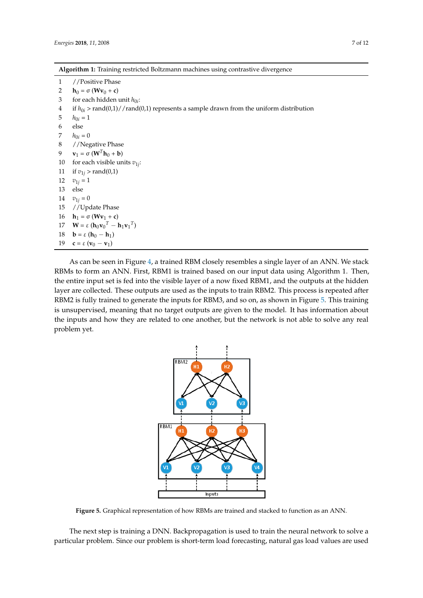**Algorithm 1:** Training restricted Boltzmann machines using contrastive divergence

| 1  | //Positive Phase                                                                           |
|----|--------------------------------------------------------------------------------------------|
| 2  | $\mathbf{h}_0 = \sigma \left( \mathbf{W} \mathbf{v}_0 + \mathbf{c} \right)$                |
| 3  | for each hidden unit $h_{0i}$ :                                                            |
| 4  | if $h_{0i}$ > rand(0,1)//rand(0,1) represents a sample drawn from the uniform distribution |
| 5  | $h_{0i} = 1$                                                                               |
| 6  | else                                                                                       |
| 7  | $h_{0i} = 0$                                                                               |
| 8  | //Negative Phase                                                                           |
| 9  | $\mathbf{v}_1 = \sigma (\mathbf{W}^T \mathbf{h}_0 + \mathbf{b})$                           |
| 10 | for each visible units $v_{1i}$ :                                                          |
| 11 | if $v_{1j} > \text{rand}(0,1)$                                                             |
| 12 | $v_{1i} = 1$                                                                               |
| 13 | else                                                                                       |
| 14 | $v_{1j}=0$                                                                                 |
| 15 | //Update Phase                                                                             |
| 16 | $\mathbf{h}_1 = \sigma \left( \mathbf{W} \mathbf{v}_1 + \mathbf{c} \right)$                |
| 17 | $\mathbf{W} = \varepsilon (\mathbf{h}_0 \mathbf{v}_0)^T - \mathbf{h}_1 \mathbf{v}_1)^T$    |
|    | 18 <b>b</b> = $\varepsilon$ ( <b>h</b> <sub>0</sub> - <b>h</b> <sub>1</sub> )              |
| 19 | $\mathbf{c} = \varepsilon \left( \mathbf{v}_0 - \mathbf{v}_1 \right)$                      |
|    |                                                                                            |

<span id="page-7-0"></span>As can be seen in Figure [4,](#page-6-0) a trained RBM closely resembles a single layer of an ANN. We stack RBMs to form an ANN. First, RBM1 is trained based on our input data using Algorithm 1. Then, the entire input set is fed into the visible layer of a now fixed RBM1, and the outputs at the hidden layer are collected. These outputs are used as the inputs to train RBM2. This process is repeated after RBM2 is fully trained to generate the inputs for RBM3, and so on, as shown in Figure [5.](#page-7-0) This training is unsupervised, meaning that no target outputs are given to the model. It has information about the inputs and how they are related to one another, but the network is not able to solve any real problem yet.



**Figure 5.** Graphical representation of how RBMs are trained and stacked to function as an ANN. **Figure 5.** Graphical representation of how RBMs are trained and stacked to function as an ANN.

particular problem. Since our problem is short-term load forecasting, natural gas load values are used The next step is training a DNN. Backpropagation is used to train the neural network to solve a particular problem. Since our problem is short-term load forecasting, natural gas load values are used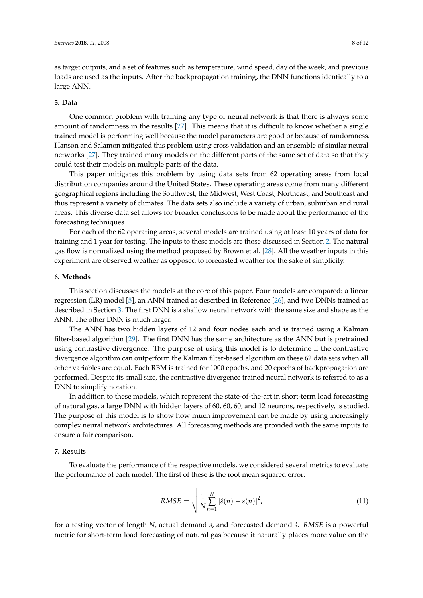as target outputs, and a set of features such as temperature, wind speed, day of the week, and previous loads are used as the inputs. After the backpropagation training, the DNN functions identically to a large ANN.

#### <span id="page-8-0"></span>**5. Data**

One common problem with training any type of neural network is that there is always some amount of randomness in the results [\[27\]](#page-12-19). This means that it is difficult to know whether a single trained model is performing well because the model parameters are good or because of randomness. Hanson and Salamon mitigated this problem using cross validation and an ensemble of similar neural networks [\[27\]](#page-12-19). They trained many models on the different parts of the same set of data so that they could test their models on multiple parts of the data.

This paper mitigates this problem by using data sets from 62 operating areas from local distribution companies around the United States. These operating areas come from many different geographical regions including the Southwest, the Midwest, West Coast, Northeast, and Southeast and thus represent a variety of climates. The data sets also include a variety of urban, suburban and rural areas. This diverse data set allows for broader conclusions to be made about the performance of the forecasting techniques.

For each of the 62 operating areas, several models are trained using at least 10 years of data for training and 1 year for testing. The inputs to these models are those discussed in Section [2.](#page-2-0) The natural gas flow is normalized using the method proposed by Brown et al. [\[28\]](#page-12-20). All the weather inputs in this experiment are observed weather as opposed to forecasted weather for the sake of simplicity.

#### <span id="page-8-1"></span>**6. Methods**

This section discusses the models at the core of this paper. Four models are compared: a linear regression (LR) model [\[5\]](#page-11-4), an ANN trained as described in Reference [\[26\]](#page-12-18), and two DNNs trained as described in Section [3.](#page-3-0) The first DNN is a shallow neural network with the same size and shape as the ANN. The other DNN is much larger.

The ANN has two hidden layers of 12 and four nodes each and is trained using a Kalman filter-based algorithm [\[29\]](#page-12-21). The first DNN has the same architecture as the ANN but is pretrained using contrastive divergence. The purpose of using this model is to determine if the contrastive divergence algorithm can outperform the Kalman filter-based algorithm on these 62 data sets when all other variables are equal. Each RBM is trained for 1000 epochs, and 20 epochs of backpropagation are performed. Despite its small size, the contrastive divergence trained neural network is referred to as a DNN to simplify notation.

In addition to these models, which represent the state-of-the-art in short-term load forecasting of natural gas, a large DNN with hidden layers of 60, 60, 60, and 12 neurons, respectively, is studied. The purpose of this model is to show how much improvement can be made by using increasingly complex neural network architectures. All forecasting methods are provided with the same inputs to ensure a fair comparison.

#### <span id="page-8-2"></span>**7. Results**

To evaluate the performance of the respective models, we considered several metrics to evaluate the performance of each model. The first of these is the root mean squared error:

RMSE = 
$$
\sqrt{\frac{1}{N} \sum_{n=1}^{N} [\hat{s}(n) - s(n)]^2}
$$
, (11)

for a testing vector of length *N*, actual demand *s*, and forecasted demand *sˆ*. *RMSE* is a powerful metric for short-term load forecasting of natural gas because it naturally places more value on the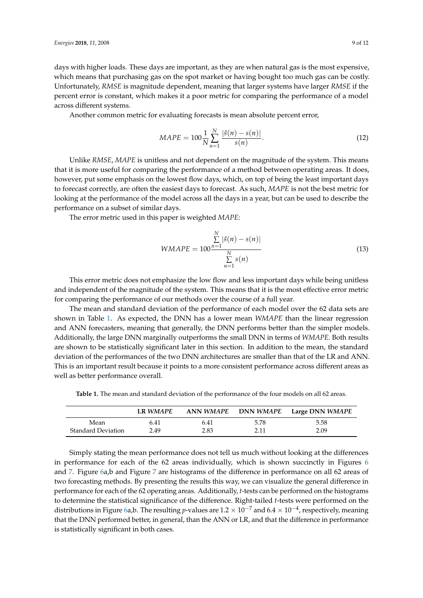days with higher loads. These days are important, as they are when natural gas is the most expensive, which means that purchasing gas on the spot market or having bought too much gas can be costly. Unfortunately, *RMSE* is magnitude dependent, meaning that larger systems have larger *RMSE* if the percent error is constant, which makes it a poor metric for comparing the performance of a model across different systems.

Another common metric for evaluating forecasts is mean absolute percent error,

$$
MAPE = 100 \frac{1}{N} \sum_{n=1}^{N} \frac{|\hat{s}(n) - s(n)|}{s(n)}.
$$
\n(12)

Unlike *RMSE*, *MAPE* is unitless and not dependent on the magnitude of the system. This means that it is more useful for comparing the performance of a method between operating areas. It does, however, put some emphasis on the lowest flow days, which, on top of being the least important days to forecast correctly, are often the easiest days to forecast. As such, *MAPE* is not the best metric for looking at the performance of the model across all the days in a year, but can be used to describe the performance on a subset of similar days.

The error metric used in this paper is weighted *MAPE*:

$$
WMAPE = 100 \frac{\sum_{n=1}^{N} |\hat{s}(n) - s(n)|}{\sum_{n=1}^{N} s(n)}
$$
(13)

This error metric does not emphasize the low flow and less important days while being unitless and independent of the magnitude of the system. This means that it is the most effective error metric for comparing the performance of our methods over the course of a full year.

The mean and standard deviation of the performance of each model over the 62 data sets are shown in Table [1.](#page-9-0) As expected, the DNN has a lower mean *WMAPE* than the linear regression and ANN forecasters, meaning that generally, the DNN performs better than the simpler models. Additionally, the large DNN marginally outperforms the small DNN in terms of *WMAPE*. Both results are shown to be statistically significant later in this section. In addition to the mean, the standard deviation of the performances of the two DNN architectures are smaller than that of the LR and ANN. This is an important result because it points to a more consistent performance across different areas as well as better performance overall.

<span id="page-9-0"></span>**Table 1.** The mean and standard deviation of the performance of the four models on all 62 areas.

|                           | LR WMAPE |      |      | ANN WMAPE DNN WMAPE Large DNN WMAPE |
|---------------------------|----------|------|------|-------------------------------------|
| Mean                      | 6.41     | 6.41 | 5.78 | 5.58                                |
| <b>Standard Deviation</b> | 2.49     | 2.83 | 2.11 | 2.09                                |

Simply stating the mean performance does not tell us much without looking at the differences in performance for each of the 62 areas individually, which is shown succinctly in Figures [6](#page-10-1) and [7.](#page-10-2) Figure [6a](#page-10-1),b and Figure [7](#page-10-2) are histograms of the difference in performance on all 62 areas of two forecasting methods. By presenting the results this way, we can visualize the general difference in performance for each of the 62 operating areas. Additionally, *t*-tests can be performed on the histograms to determine the statistical significance of the difference. Right-tailed *t*-tests were performed on the distributions in Figure [6a](#page-10-1),b. The resulting *p*-values are 1.2  $\times$   $10^{-7}$  and 6.4  $\times$   $10^{-4}$ , respectively, meaning that the DNN performed better, in general, than the ANN or LR, and that the difference in performance is statistically significant in both cases.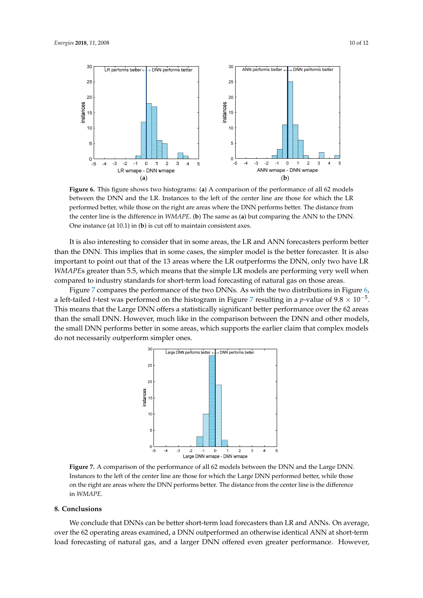

<span id="page-10-1"></span>

**Figure 6.** This figure shows two histograms: (**a**) A comparison of the performance of all 62 models **Figure 6.** This figure shows two histograms: (**a**) A comparison of the performance of all 62 models between the DNN and the LR. Instances to the left of the center line are those for which the LR between the DNN and the LR. Instances to the left of the center line are those for which the LR performed better, while those on the right are areas where the DNN performs better. The distance performed better, while those on the right are areas where the DNN performs better. The distance from the center line is the difference in WMAPE. (b) The same as (a) but comparing the ANN to the DNN. One instance (at 10.1) in (**b**) is cut off to maintain consistent axes.

It is also interesting to consider that in some areas, the LR and ANN forecasters perform better It is also interesting to consider that in some areas, the LR and ANN forecasters perform better than the DNN. This implies that in some cases, the simpler model is the better forecaster. It is also than the DNN. This implies that in some cases, the simpler model is the better forecaster. It is also important to point out that of the 13 areas where the LR outperforms the DNN, only two have LR important to point out that of the 13 areas where the LR outperforms the DNN, only two have LR ward to point out and the simple simple that the simple LR models are performed very simple than the simple simpl<br>The simple simple simple simple simple simple simple simple simple simple simple simple simple simple simple *WMAPEs greater than 5.5, which means that the simple LR models are performing very well when* compared to industry standards for short-term load forecasting of natural gas on those areas.

<span id="page-10-2"></span>Figure 7 compares the performance of the two DNNs. As with the two distributions in Figure 6*,* a left-tailed *t*-test was p[er](#page-10-2)formed on the histogram in Figure 7 resulting in a *p*-value of 9.8  $\times$  10<sup>-5</sup>. This means that the Large DNN offers a statistically significant better performance over the 62 areas than the small DNN. However, much like in the comparison between the DNN and other models, the small DNN performs better in some areas, which supports the earlier claim that complex models do not necessarily outperform simpler ones.



**Figure 7.** A comparison of the performance of all 62 models between the DNN and the Large DNN. **Figure 7.** A comparison of the performance of all 62 models between the DNN and the Large DNN. Instances to the left of the center line are those for which the Large DNN performed better, while Instances to the left of the center line are those for which the Large DNN performed better, while those those on the right are areas where the DNN performs better. The distance from the center line is the difference in *WMAPE*. on the right are areas where the DNN performs better. The distance from the center line is the difference in *WMAPE*.

## <span id="page-10-0"></span>**8. Conclusions 8. Conclusions**

We conclude that DNNs can be better short-term load forecasters than LR and ANNs. On average, over the 62 operating areas examined, a DNN outperformed an otherwise identical ANN at short-term  $\frac{1}{\sqrt{2}}$  is the performance are not performance are not present for all 62 operating are not present for some load forecasting of natural gas, and a larger DNN offered even greater performance. However,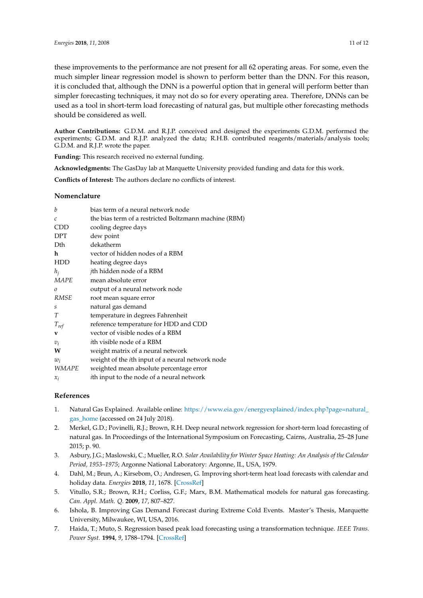these improvements to the performance are not present for all 62 operating areas. For some, even the much simpler linear regression model is shown to perform better than the DNN. For this reason, it is concluded that, although the DNN is a powerful option that in general will perform better than simpler forecasting techniques, it may not do so for every operating area. Therefore, DNNs can be used as a tool in short-term load forecasting of natural gas, but multiple other forecasting methods should be considered as well.

**Author Contributions:** G.D.M. and R.J.P. conceived and designed the experiments G.D.M. performed the experiments; G.D.M. and R.J.P. analyzed the data; R.H.B. contributed reagents/materials/analysis tools; G.D.M. and R.J.P. wrote the paper.

**Funding:** This research received no external funding.

**Acknowledgments:** The GasDay lab at Marquette University provided funding and data for this work.

**Conflicts of Interest:** The authors declare no conflicts of interest.

#### **Nomenclature**

| b             | bias term of a neural network node                       |
|---------------|----------------------------------------------------------|
| $\mathcal{C}$ | the bias term of a restricted Boltzmann machine (RBM)    |
| <b>CDD</b>    | cooling degree days                                      |
| <b>DPT</b>    | dew point                                                |
| Dth           | dekatherm                                                |
| h             | vector of hidden nodes of a RBM                          |
| <b>HDD</b>    | heating degree days                                      |
| $h_i$         | <i>j</i> th hidden node of a RBM                         |
| MAPE          | mean absolute error                                      |
| $\Omega$      | output of a neural network node                          |
| RMSE          | root mean square error                                   |
| S             | natural gas demand                                       |
| T             | temperature in degrees Fahrenheit                        |
| $T_{ref}$     | reference temperature for HDD and CDD                    |
| v             | vector of visible nodes of a RBM                         |
| $v_i$         | <i>i</i> th visible node of a RBM                        |
| W             | weight matrix of a neural network                        |
| $w_i$         | weight of the <i>i</i> th input of a neural network node |
| WMAPE         | weighted mean absolute percentage error                  |
| $x_i$         | <i>i</i> th input to the node of a neural network        |
|               |                                                          |

#### **References**

- <span id="page-11-0"></span>1. Natural Gas Explained. Available online: [https://www.eia.gov/energyexplained/index.php?page=natural\\_](https://www.eia.gov/energyexplained/index.php?page=natural_gas_home) [gas\\_home](https://www.eia.gov/energyexplained/index.php?page=natural_gas_home) (accessed on 24 July 2018).
- <span id="page-11-1"></span>2. Merkel, G.D.; Povinelli, R.J.; Brown, R.H. Deep neural network regression for short-term load forecasting of natural gas. In Proceedings of the International Symposium on Forecasting, Cairns, Australia, 25–28 June 2015; p. 90.
- <span id="page-11-2"></span>3. Asbury, J.G.; Maslowski, C.; Mueller, R.O. *Solar Availability for Winter Space Heating: An Analysis of the Calendar Period, 1953–1975*; Argonne National Laboratory: Argonne, IL, USA, 1979.
- <span id="page-11-3"></span>4. Dahl, M.; Brun, A.; Kirsebom, O.; Andresen, G. Improving short-term heat load forecasts with calendar and holiday data. *Energies* **2018**, *11*, 1678. [\[CrossRef\]](http://dx.doi.org/10.3390/en11071678)
- <span id="page-11-4"></span>5. Vitullo, S.R.; Brown, R.H.; Corliss, G.F.; Marx, B.M. Mathematical models for natural gas forecasting. *Can. Appl. Math. Q.* **2009**, *17*, 807–827.
- <span id="page-11-5"></span>6. Ishola, B. Improving Gas Demand Forecast during Extreme Cold Events. Master's Thesis, Marquette University, Milwaukee, WI, USA, 2016.
- <span id="page-11-6"></span>7. Haida, T.; Muto, S. Regression based peak load forecasting using a transformation technique. *IEEE Trans. Power Syst.* **1994**, *9*, 1788–1794. [\[CrossRef\]](http://dx.doi.org/10.1109/59.331433)